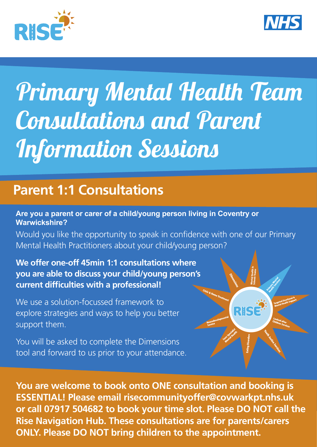



RIS

# *Primary Mental Health Team Consultations and Parent Information Sessions*

## **Parent 1:1 Consultations**

#### **Are you a parent or carer of a child/young person living in Coventry or Warwickshire?**

Would you like the opportunity to speak in confidence with one of our Primary Mental Health Practitioners about your child/young person?

#### **We offer one-off 45min 1:1 consultations where you are able to discuss your child/young person's current difficulties with a professional!**

We use a solution-focussed framework to explore strategies and ways to help you better support them.

You will be asked to complete the Dimensions tool and forward to us prior to your attendance.

Rise Navigation Hub. These consultations are for parents/carers the appointment.<br>The coventry and the Coventry and the Coventry and the Coventry and the Coventry and the Coventry and the Cove ONLY. Please DO NOT bring children to the appointment. **You are welcome to book onto ONE consultation and booking is ESSENTIAL! Please email risecommunityoffer@covwarkpt.nhs.uk or call 07917 504682 to book your time slot. Please DO NOT call the**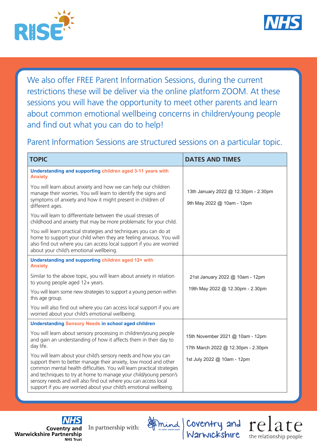



We also offer FREE Parent Information Sessions, during the current restrictions these will be deliver via the online platform ZOOM. At these sessions you will have the opportunity to meet other parents and learn about common emotional wellbeing concerns in children/young people and find out what you can do to help!

Parent Information Sessions are structured sessions on a particular topic.

| <b>TOPIC</b>                                                                                                                                                                                                                                                                                                                                                                                                               | <b>DATES AND TIMES</b>                                             |
|----------------------------------------------------------------------------------------------------------------------------------------------------------------------------------------------------------------------------------------------------------------------------------------------------------------------------------------------------------------------------------------------------------------------------|--------------------------------------------------------------------|
| Understanding and supporting children aged 3-11 years with<br><b>Anxiety</b>                                                                                                                                                                                                                                                                                                                                               |                                                                    |
| You will learn about anxiety and how we can help our children<br>manage their worries. You will learn to identify the signs and<br>symptoms of anxiety and how it might present in children of<br>different ages.                                                                                                                                                                                                          | 13th January 2022 @ 12.30pm - 2.30pm<br>9th May 2022 @ 10am - 12pm |
| You will learn to differentiate between the usual stresses of<br>childhood and anxiety that may be more problematic for your child.                                                                                                                                                                                                                                                                                        |                                                                    |
| You will learn practical strategies and techniques you can do at<br>home to support your child when they are feeling anxious. You will<br>also find out where you can access local support if you are worried<br>about your child's emotional wellbeing.                                                                                                                                                                   |                                                                    |
| Understanding and supporting children aged 12+ with<br><b>Anxiety</b>                                                                                                                                                                                                                                                                                                                                                      |                                                                    |
| Similar to the above topic, you will learn about anxiety in relation<br>to young people aged 12+ years.                                                                                                                                                                                                                                                                                                                    | 21st January 2022 @ 10am - 12pm                                    |
| You will learn some new strategies to support a young person within<br>this age group.                                                                                                                                                                                                                                                                                                                                     | 19th May 2022 @ 12.30pm - 2.30pm                                   |
| You will also find out where you can access local support if you are<br>worried about your child's emotional wellbeing.                                                                                                                                                                                                                                                                                                    |                                                                    |
| <b>Understanding Sensory Needs in school aged children</b>                                                                                                                                                                                                                                                                                                                                                                 |                                                                    |
| You will learn about sensory processing in children/young people<br>and gain an understanding of how it affects them in their day to                                                                                                                                                                                                                                                                                       | 15th November 2021 @ 10am - 12pm                                   |
| day life.                                                                                                                                                                                                                                                                                                                                                                                                                  | 17th March 2022 @ 12.30pm - 2.30pm                                 |
| You will learn about your child's sensory needs and how you can<br>support them to better manage their anxiety, low mood and other<br>common mental health difficulties. You will learn practical strategies<br>and techniques to try at home to manage your child/young person's<br>sensory needs and will also find out where you can access local<br>support if you are worried about your child's emotional wellbeing. | 1st July 2022 @ 10am - 12pm                                        |

**Coventry and Warwickshire Partnership NHS Trust** 

In partnership with:



Coventry and

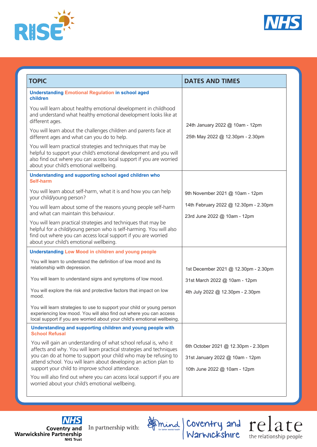



| <b>TOPIC</b>                                                                                                                                                                                                                                                                                                                       | <b>DATES AND TIMES</b>                                                                                 |
|------------------------------------------------------------------------------------------------------------------------------------------------------------------------------------------------------------------------------------------------------------------------------------------------------------------------------------|--------------------------------------------------------------------------------------------------------|
| <b>Understanding Emotional Regulation in school aged</b><br>children                                                                                                                                                                                                                                                               |                                                                                                        |
| You will learn about healthy emotional development in childhood<br>and understand what healthy emotional development looks like at<br>different ages.                                                                                                                                                                              | 24th January 2022 @ 10am - 12pm                                                                        |
| You will learn about the challenges children and parents face at<br>different ages and what can you do to help.                                                                                                                                                                                                                    | 25th May 2022 @ 12.30pm - 2.30pm                                                                       |
| You will learn practical strategies and techniques that may be<br>helpful to support your child's emotional development and you will<br>also find out where you can access local support if you are worried<br>about your child's emotional wellbeing.                                                                             |                                                                                                        |
| Understanding and supporting school aged children who<br>Self-harm                                                                                                                                                                                                                                                                 |                                                                                                        |
| You will learn about self-harm, what it is and how you can help<br>your child/young person?                                                                                                                                                                                                                                        | 9th November 2021 @ 10am - 12pm                                                                        |
| You will learn about some of the reasons young people self-harm<br>and what can maintain this behaviour.                                                                                                                                                                                                                           | 14th February 2022 @ 12.30pm - 2.30pm<br>23rd June 2022 @ 10am - 12pm                                  |
| You will learn practical strategies and techniques that may be<br>helpful for a child/young person who is self-harming. You will also<br>find out where you can access local support if you are worried<br>about your child's emotional wellbeing.                                                                                 |                                                                                                        |
| <b>Understanding Low Mood in children and young people</b>                                                                                                                                                                                                                                                                         |                                                                                                        |
| You will learn to understand the definition of low mood and its<br>relationship with depression.                                                                                                                                                                                                                                   | 1st December 2021 @ 12.30pm - 2.30pm                                                                   |
| You will learn to understand signs and symptoms of low mood.                                                                                                                                                                                                                                                                       | 31st March 2022 @ 10am - 12pm                                                                          |
| You will explore the risk and protective factors that impact on low<br>mood.                                                                                                                                                                                                                                                       | 4th July 2022 @ 12.30pm - 2.30pm                                                                       |
| You will learn strategies to use to support your child or young person<br>experiencing low mood. You will also find out where you can access<br>local support if you are worried about your child's emotional wellbeing.                                                                                                           |                                                                                                        |
| Understanding and supporting children and young people with<br><b>School Refusal</b>                                                                                                                                                                                                                                               |                                                                                                        |
| You will gain an understanding of what school refusal is, who it<br>affects and why. You will learn practical strategies and techniques<br>you can do at home to support your child who may be refusing to<br>attend school. You will learn about developing an action plan to<br>support your child to improve school attendance. | 6th October 2021 @ 12.30pm - 2.30pm<br>31st January 2022 @ 10am - 12pm<br>10th June 2022 @ 10am - 12pm |
| You will also find out where you can access local support if you are<br>worried about your child's emotional wellbeing.                                                                                                                                                                                                            |                                                                                                        |

**NHS** Coventry and<br>Warwickshire Partnership **NHS Trust** 

In partnership with:

Coventry and Warwickshire the relationship people